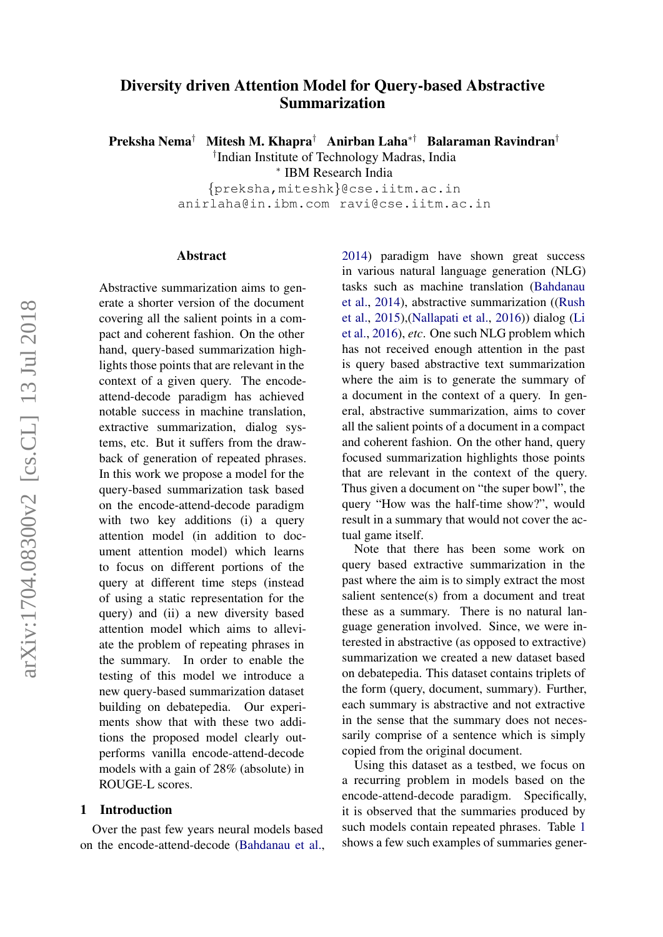# Diversity driven Attention Model for Query-based Abstractive Summarization

Preksha Nema† Mitesh M. Khapra† Anirban Laha∗† Balaraman Ravindran†

† Indian Institute of Technology Madras, India

∗ IBM Research India

{preksha,miteshk}@cse.iitm.ac.in anirlaha@in.ibm.com ravi@cse.iitm.ac.in

#### Abstract

Abstractive summarization aims to generate a shorter version of the document covering all the salient points in a compact and coherent fashion. On the other hand, query-based summarization highlights those points that are relevant in the context of a given query. The encodeattend-decode paradigm has achieved notable success in machine translation, extractive summarization, dialog systems, etc. But it suffers from the drawback of generation of repeated phrases. In this work we propose a model for the query-based summarization task based on the encode-attend-decode paradigm with two key additions (i) a query attention model (in addition to document attention model) which learns to focus on different portions of the query at different time steps (instead of using a static representation for the query) and (ii) a new diversity based attention model which aims to alleviate the problem of repeating phrases in the summary. In order to enable the testing of this model we introduce a new query-based summarization dataset building on debatepedia. Our experiments show that with these two additions the proposed model clearly outperforms vanilla encode-attend-decode models with a gain of 28% (absolute) in ROUGE-L scores.

#### 1 Introduction

Over the past few years neural models based on the encode-attend-decode [\(Bahdanau et al.,](#page-8-0)

[2014\)](#page-8-0) paradigm have shown great success in various natural language generation (NLG) tasks such as machine translation [\(Bahdanau](#page-8-0) [et al.,](#page-8-0) [2014\)](#page-8-0), abstractive summarization ([\(Rush](#page-8-1) [et al.,](#page-8-1) [2015\)](#page-8-1),[\(Nallapati et al.,](#page-8-2) [2016\)](#page-8-2)) dialog [\(Li](#page-8-3) [et al.,](#page-8-3) [2016\)](#page-8-3), *etc*. One such NLG problem which has not received enough attention in the past is query based abstractive text summarization where the aim is to generate the summary of a document in the context of a query. In general, abstractive summarization, aims to cover all the salient points of a document in a compact and coherent fashion. On the other hand, query focused summarization highlights those points that are relevant in the context of the query. Thus given a document on "the super bowl", the query "How was the half-time show?", would result in a summary that would not cover the actual game itself.

Note that there has been some work on query based extractive summarization in the past where the aim is to simply extract the most salient sentence(s) from a document and treat these as a summary. There is no natural language generation involved. Since, we were interested in abstractive (as opposed to extractive) summarization we created a new dataset based on debatepedia. This dataset contains triplets of the form (query, document, summary). Further, each summary is abstractive and not extractive in the sense that the summary does not necessarily comprise of a sentence which is simply copied from the original document.

Using this dataset as a testbed, we focus on a recurring problem in models based on the encode-attend-decode paradigm. Specifically, it is observed that the summaries produced by such models contain repeated phrases. Table [1](#page-1-0) shows a few such examples of summaries gener-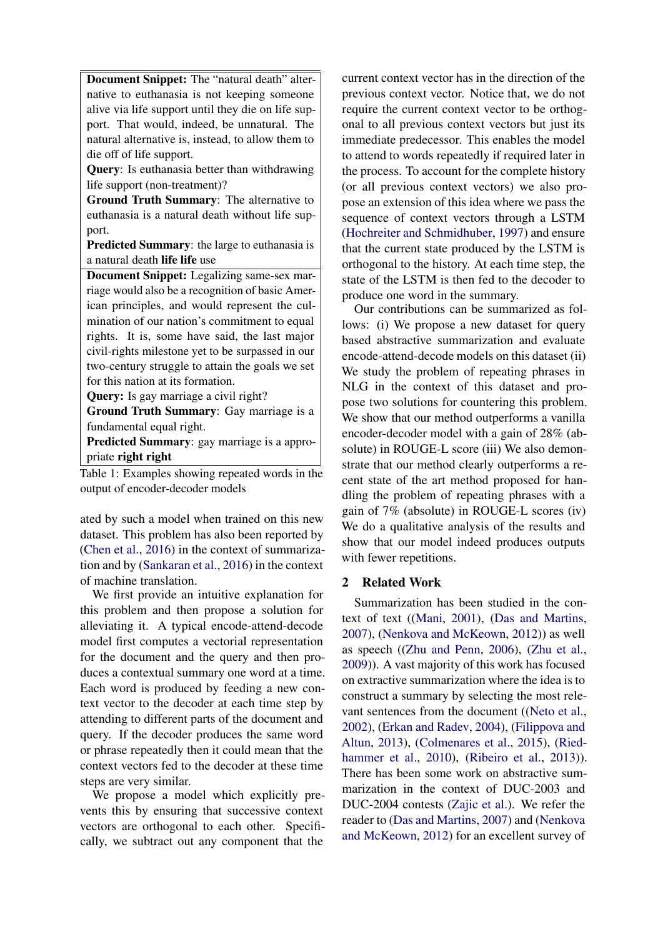Document Snippet: The "natural death" alternative to euthanasia is not keeping someone alive via life support until they die on life support. That would, indeed, be unnatural. The natural alternative is, instead, to allow them to die off of life support.

Query: Is euthanasia better than withdrawing life support (non-treatment)?

Ground Truth Summary: The alternative to euthanasia is a natural death without life support.

Predicted Summary: the large to euthanasia is a natural death life life use

Document Snippet: Legalizing same-sex marriage would also be a recognition of basic American principles, and would represent the culmination of our nation's commitment to equal rights. It is, some have said, the last major civil-rights milestone yet to be surpassed in our two-century struggle to attain the goals we set for this nation at its formation.

Query: Is gay marriage a civil right?

Ground Truth Summary: Gay marriage is a fundamental equal right.

Predicted Summary: gay marriage is a appropriate right right

<span id="page-1-0"></span>Table 1: Examples showing repeated words in the output of encoder-decoder models

ated by such a model when trained on this new dataset. This problem has also been reported by [\(Chen et al.,](#page-8-4) [2016\)](#page-8-4) in the context of summarization and by [\(Sankaran et al.,](#page-8-5) [2016\)](#page-8-5) in the context of machine translation.

We first provide an intuitive explanation for this problem and then propose a solution for alleviating it. A typical encode-attend-decode model first computes a vectorial representation for the document and the query and then produces a contextual summary one word at a time. Each word is produced by feeding a new context vector to the decoder at each time step by attending to different parts of the document and query. If the decoder produces the same word or phrase repeatedly then it could mean that the context vectors fed to the decoder at these time steps are very similar.

We propose a model which explicitly prevents this by ensuring that successive context vectors are orthogonal to each other. Specifically, we subtract out any component that the

current context vector has in the direction of the previous context vector. Notice that, we do not require the current context vector to be orthogonal to all previous context vectors but just its immediate predecessor. This enables the model to attend to words repeatedly if required later in the process. To account for the complete history (or all previous context vectors) we also propose an extension of this idea where we pass the sequence of context vectors through a LSTM [\(Hochreiter and Schmidhuber,](#page-8-6) [1997\)](#page-8-6) and ensure that the current state produced by the LSTM is orthogonal to the history. At each time step, the state of the LSTM is then fed to the decoder to produce one word in the summary.

Our contributions can be summarized as follows: (i) We propose a new dataset for query based abstractive summarization and evaluate encode-attend-decode models on this dataset (ii) We study the problem of repeating phrases in NLG in the context of this dataset and propose two solutions for countering this problem. We show that our method outperforms a vanilla encoder-decoder model with a gain of 28% (absolute) in ROUGE-L score (iii) We also demonstrate that our method clearly outperforms a recent state of the art method proposed for handling the problem of repeating phrases with a gain of 7% (absolute) in ROUGE-L scores (iv) We do a qualitative analysis of the results and show that our model indeed produces outputs with fewer repetitions.

## 2 Related Work

Summarization has been studied in the context of text ([\(Mani,](#page-8-7) [2001\)](#page-8-7), [\(Das and Martins,](#page-8-8) [2007\)](#page-8-8), [\(Nenkova and McKeown,](#page-8-9) [2012\)](#page-8-9)) as well as speech ([\(Zhu and Penn,](#page-9-0) [2006\)](#page-9-0), [\(Zhu et al.,](#page-9-1) [2009\)](#page-9-1)). A vast majority of this work has focused on extractive summarization where the idea is to construct a summary by selecting the most relevant sentences from the document ([\(Neto et al.,](#page-8-10) [2002\)](#page-8-10), [\(Erkan and Radev,](#page-8-11) [2004\)](#page-8-11), [\(Filippova and](#page-8-12) [Altun,](#page-8-12) [2013\)](#page-8-12), [\(Colmenares et al.,](#page-8-13) [2015\)](#page-8-13), [\(Ried](#page-8-14)[hammer et al.,](#page-8-14) [2010\)](#page-8-14), [\(Ribeiro et al.,](#page-8-15) [2013\)](#page-8-15)). There has been some work on abstractive summarization in the context of DUC-2003 and DUC-2004 contests [\(Zajic et al.\)](#page-8-16). We refer the reader to [\(Das and Martins,](#page-8-8) [2007\)](#page-8-8) and [\(Nenkova](#page-8-9) [and McKeown,](#page-8-9) [2012\)](#page-8-9) for an excellent survey of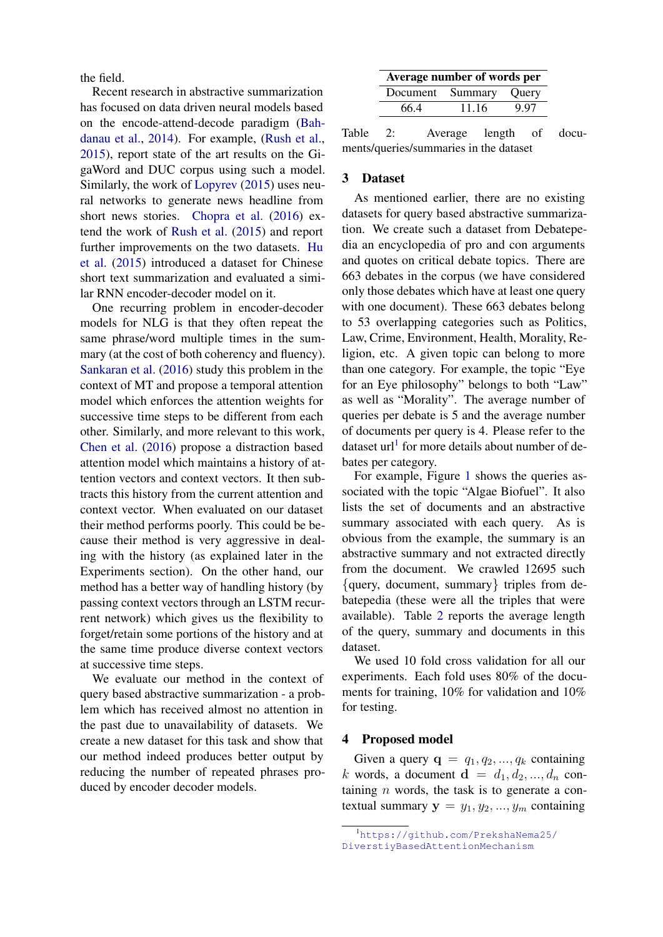the field.

Recent research in abstractive summarization has focused on data driven neural models based on the encode-attend-decode paradigm [\(Bah](#page-8-0)[danau et al.,](#page-8-0) [2014\)](#page-8-0). For example, [\(Rush et al.,](#page-8-1) [2015\)](#page-8-1), report state of the art results on the GigaWord and DUC corpus using such a model. Similarly, the work of [Lopyrev](#page-8-17) [\(2015\)](#page-8-17) uses neural networks to generate news headline from short news stories. [Chopra et al.](#page-8-18) [\(2016\)](#page-8-18) extend the work of [Rush et al.](#page-8-1) [\(2015\)](#page-8-1) and report further improvements on the two datasets. [Hu](#page-8-19) [et al.](#page-8-19) [\(2015\)](#page-8-19) introduced a dataset for Chinese short text summarization and evaluated a similar RNN encoder-decoder model on it.

One recurring problem in encoder-decoder models for NLG is that they often repeat the same phrase/word multiple times in the summary (at the cost of both coherency and fluency). [Sankaran et al.](#page-8-5) [\(2016\)](#page-8-5) study this problem in the context of MT and propose a temporal attention model which enforces the attention weights for successive time steps to be different from each other. Similarly, and more relevant to this work, [Chen et al.](#page-8-4) [\(2016\)](#page-8-4) propose a distraction based attention model which maintains a history of attention vectors and context vectors. It then subtracts this history from the current attention and context vector. When evaluated on our dataset their method performs poorly. This could be because their method is very aggressive in dealing with the history (as explained later in the Experiments section). On the other hand, our method has a better way of handling history (by passing context vectors through an LSTM recurrent network) which gives us the flexibility to forget/retain some portions of the history and at the same time produce diverse context vectors at successive time steps.

We evaluate our method in the context of query based abstractive summarization - a problem which has received almost no attention in the past due to unavailability of datasets. We create a new dataset for this task and show that our method indeed produces better output by reducing the number of repeated phrases produced by encoder decoder models.

<span id="page-2-1"></span>

| Average number of words per |                        |      |  |
|-----------------------------|------------------------|------|--|
|                             | Document Summary Query |      |  |
| 66.4                        | 11.16                  | 9.97 |  |

Table 2: Average length of documents/queries/summaries in the dataset

## 3 Dataset

As mentioned earlier, there are no existing datasets for query based abstractive summarization. We create such a dataset from Debatepedia an encyclopedia of pro and con arguments and quotes on critical debate topics. There are 663 debates in the corpus (we have considered only those debates which have at least one query with one document). These 663 debates belong to 53 overlapping categories such as Politics, Law, Crime, Environment, Health, Morality, Religion, etc. A given topic can belong to more than one category. For example, the topic "Eye for an Eye philosophy" belongs to both "Law" as well as "Morality". The average number of queries per debate is 5 and the average number of documents per query is 4. Please refer to the dataset url<sup>[1](#page-2-0)</sup> for more details about number of debates per category.

For example, Figure [1](#page-3-0) shows the queries associated with the topic "Algae Biofuel". It also lists the set of documents and an abstractive summary associated with each query. As is obvious from the example, the summary is an abstractive summary and not extracted directly from the document. We crawled 12695 such {query, document, summary} triples from debatepedia (these were all the triples that were available). Table [2](#page-2-1) reports the average length of the query, summary and documents in this dataset.

We used 10 fold cross validation for all our experiments. Each fold uses 80% of the documents for training, 10% for validation and 10% for testing.

## 4 Proposed model

Given a query  $\mathbf{q} = q_1, q_2, ..., q_k$  containing k words, a document  $\mathbf{d} = d_1, d_2, ..., d_n$  containing  $n$  words, the task is to generate a contextual summary  $y = y_1, y_2, ..., y_m$  containing

<span id="page-2-0"></span><sup>1</sup>[https://github.com/PrekshaNema25/](https://github.com/PrekshaNema25/DiverstiyBasedAttentionMechanism) [DiverstiyBasedAttentionMechanism](https://github.com/PrekshaNema25/DiverstiyBasedAttentionMechanism)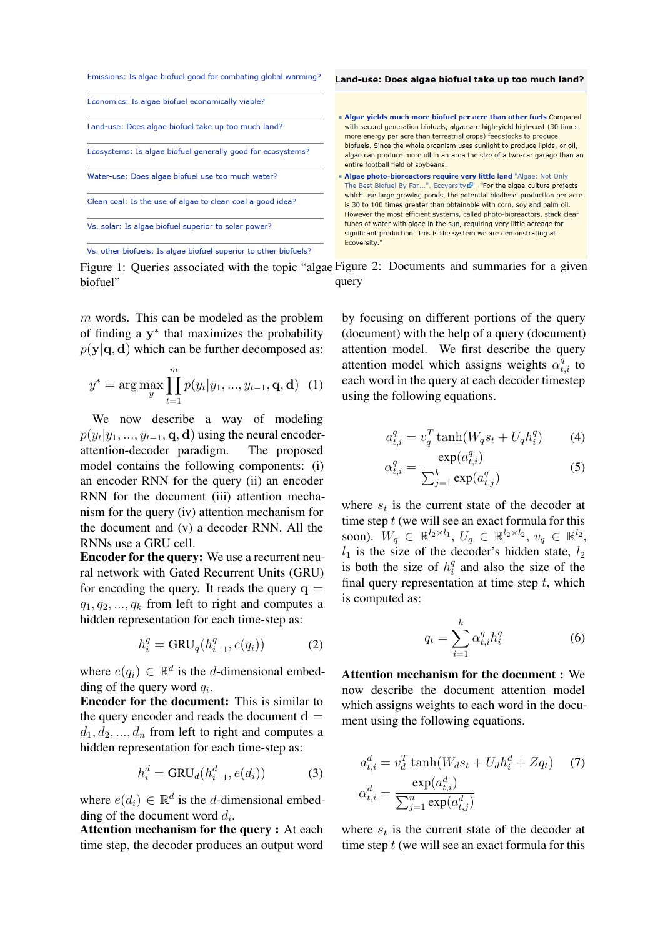

<span id="page-3-0"></span>Figure 1: Queries associated with the topic "algae Figure 2: Documents and summaries for a given biofuel" query

m words. This can be modeled as the problem of finding a  $y^*$  that maximizes the probability  $p(\mathbf{y}|\mathbf{q}, \mathbf{d})$  which can be further decomposed as:

$$
y^* = \arg\max_{y} \prod_{t=1}^{m} p(y_t | y_1, ..., y_{t-1}, \mathbf{q}, \mathbf{d}) \tag{1}
$$

We now describe a way of modeling  $p(y_t|y_1, \ldots, y_{t-1}, \mathbf{q}, \mathbf{d})$  using the neural encoderattention-decoder paradigm. The proposed model contains the following components: (i) an encoder RNN for the query (ii) an encoder RNN for the document (iii) attention mechanism for the query (iv) attention mechanism for the document and (v) a decoder RNN. All the RNNs use a GRU cell.

Encoder for the query: We use a recurrent neural network with Gated Recurrent Units (GRU) for encoding the query. It reads the query  $q =$  $q_1, q_2, \ldots, q_k$  from left to right and computes a hidden representation for each time-step as:

$$
h_i^q = \text{GRU}_q(h_{i-1}^q, e(q_i))
$$
 (2)

where  $e(q_i) \in \mathbb{R}^d$  is the d-dimensional embedding of the query word  $q_i$ .

Encoder for the document: This is similar to the query encoder and reads the document  $d =$  $d_1, d_2, ..., d_n$  from left to right and computes a hidden representation for each time-step as:

$$
h_i^d = \text{GRU}_d(h_{i-1}^d, e(d_i))
$$
 (3)

where  $e(d_i) \in \mathbb{R}^d$  is the d-dimensional embedding of the document word  $d_i$ .

Attention mechanism for the query : At each time step, the decoder produces an output word <span id="page-3-2"></span>by focusing on different portions of the query (document) with the help of a query (document) attention model. We first describe the query attention model which assigns weights  $\alpha_{t,i}^{\bar{q}}$  to each word in the query at each decoder timestep using the following equations.

$$
a_{t,i}^q = v_q^T \tanh(W_q s_t + U_q h_i^q) \tag{4}
$$

$$
\alpha_{t,i}^q = \frac{\exp(a_{t,i}^q)}{\sum_{j=1}^k \exp(a_{t,j}^q)}
$$
(5)

where  $s_t$  is the current state of the decoder at time step  $t$  (we will see an exact formula for this soon).  $W_q \in \mathbb{R}^{l_2 \times l_1}$ ,  $U_q \in \mathbb{R}^{l_2 \times l_2}$ ,  $v_q \in \mathbb{R}^{l_2}$ ,  $l_1$  is the size of the decoder's hidden state,  $l_2$ is both the size of  $h_i^q$  $\frac{q}{i}$  and also the size of the final query representation at time step  $t$ , which is computed as:

<span id="page-3-1"></span>
$$
q_t = \sum_{i=1}^k \alpha_{t,i}^q h_i^q \tag{6}
$$

Attention mechanism for the document : We now describe the document attention model which assigns weights to each word in the document using the following equations.

$$
a_{t,i}^d = v_d^T \tanh(W_d s_t + U_d h_i^d + Z q_t)
$$
 (7)  

$$
\alpha_{t,i}^d = \frac{\exp(a_{t,i}^d)}{\sum_{j=1}^n \exp(a_{t,j}^d)}
$$

where  $s_t$  is the current state of the decoder at time step  $t$  (we will see an exact formula for this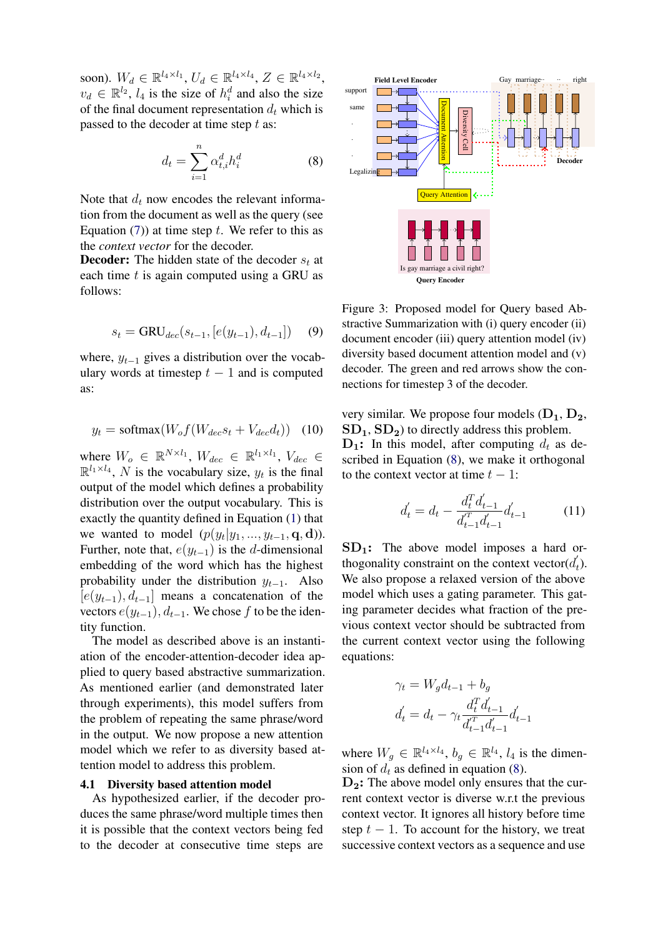soon).  $W_d \in \mathbb{R}^{l_4 \times l_1}$ ,  $U_d \in \mathbb{R}^{l_4 \times l_4}$ ,  $Z \in \mathbb{R}^{l_4 \times l_2}$ ,  $v_d \in \mathbb{R}^{l_2}$ ,  $l_4$  is the size of  $h_i^d$  and also the size of the final document representation  $d_t$  which is passed to the decoder at time step  $t$  as:

$$
d_t = \sum_{i=1}^n \alpha_{t,i}^d h_i^d \tag{8}
$$

Note that  $d_t$  now encodes the relevant information from the document as well as the query (see Equation [\(7\)](#page-3-1)) at time step t. We refer to this as the *context vector* for the decoder.

**Decoder:** The hidden state of the decoder  $s_t$  at each time  $t$  is again computed using a GRU as follows:

$$
s_t = \text{GRU}_{dec}(s_{t-1}, [e(y_{t-1}), d_{t-1}]) \quad (9)
$$

where,  $y_{t-1}$  gives a distribution over the vocabulary words at timestep  $t - 1$  and is computed as:

$$
y_t = \text{softmax}(W_o f(W_{dec} s_t + V_{dec} d_t)) \quad (10)
$$

where  $W_o \in \mathbb{R}^{N \times l_1}$ ,  $W_{dec} \in \mathbb{R}^{l_1 \times l_1}$ ,  $V_{dec} \in$  $\mathbb{R}^{l_1 \times l_4}$ , N is the vocabulary size,  $y_t$  is the final output of the model which defines a probability distribution over the output vocabulary. This is exactly the quantity defined in Equation [\(1\)](#page-3-2) that we wanted to model  $(p(y_t|y_1, ..., y_{t-1}, \mathbf{q}, \mathbf{d}))$ . Further, note that,  $e(y_{t-1})$  is the d-dimensional embedding of the word which has the highest probability under the distribution  $y_{t-1}$ . Also  $[e(y_{t-1}), d_{t-1}]$  means a concatenation of the vectors  $e(y_{t-1}), d_{t-1}$ . We chose f to be the identity function.

The model as described above is an instantiation of the encoder-attention-decoder idea applied to query based abstractive summarization. As mentioned earlier (and demonstrated later through experiments), this model suffers from the problem of repeating the same phrase/word in the output. We now propose a new attention model which we refer to as diversity based attention model to address this problem.

#### 4.1 Diversity based attention model

As hypothesized earlier, if the decoder produces the same phrase/word multiple times then it is possible that the context vectors being fed to the decoder at consecutive time steps are

<span id="page-4-0"></span>

<span id="page-4-2"></span><span id="page-4-1"></span>Figure 3: Proposed model for Query based Abstractive Summarization with (i) query encoder (ii) document encoder (iii) query attention model (iv) diversity based document attention model and (v) decoder. The green and red arrows show the connections for timestep 3 of the decoder.

<span id="page-4-3"></span>very similar. We propose four models  $(D_1, D_2,$  $SD<sub>1</sub>, SD<sub>2</sub>$ ) to directly address this problem.  $D_1$ : In this model, after computing  $d_t$  as described in Equation [\(8\)](#page-4-0), we make it orthogonal to the context vector at time  $t - 1$ :

$$
d_t' = d_t - \frac{d_t^T d_{t-1}'}{d_{t-1}^T d_{t-1}'} d_{t-1}'
$$
 (11)

 $SD<sub>1</sub>$ : The above model imposes a hard orthogonality constraint on the context vector( $d'_{i}$  $t(t)$ . We also propose a relaxed version of the above model which uses a gating parameter. This gating parameter decides what fraction of the previous context vector should be subtracted from the current context vector using the following equations:

$$
\gamma_t = W_g d_{t-1} + b_g
$$

$$
d'_t = d_t - \gamma_t \frac{d_t^T d'_{t-1}}{d'_{t-1} d'_{t-1}} d'_{t-1}
$$

where  $W_g \in \mathbb{R}^{l_4 \times l_4}$ ,  $b_g \in \mathbb{R}^{l_4}$ ,  $l_4$  is the dimension of  $d_t$  as defined in equation [\(8\)](#page-4-0).

 $D_2$ : The above model only ensures that the current context vector is diverse w.r.t the previous context vector. It ignores all history before time step  $t - 1$ . To account for the history, we treat successive context vectors as a sequence and use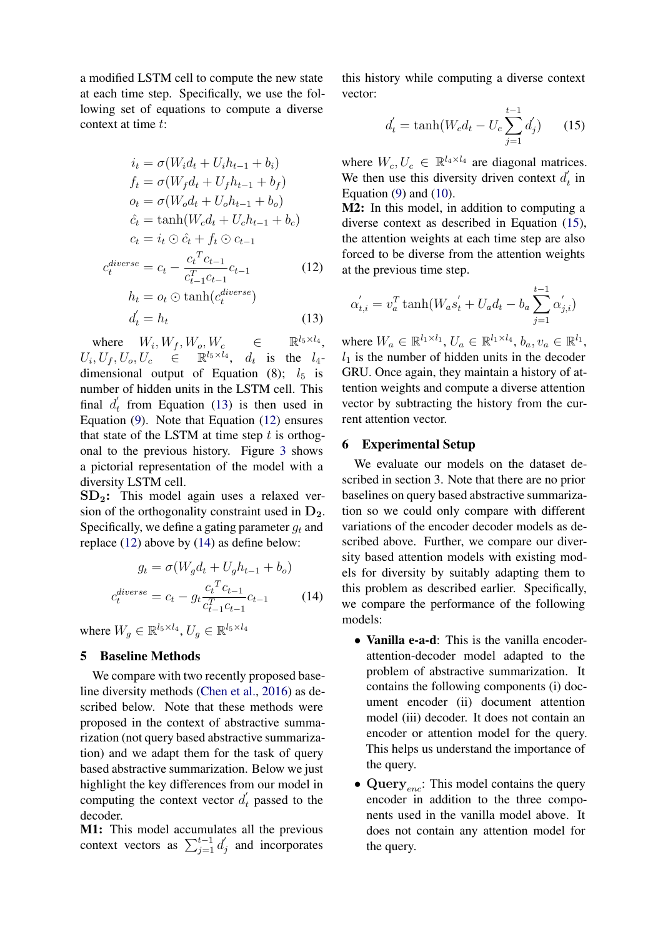a modified LSTM cell to compute the new state at each time step. Specifically, we use the following set of equations to compute a diverse context at time t:

$$
i_t = \sigma(W_i d_t + U_i h_{t-1} + b_i)
$$
  
\n
$$
f_t = \sigma(W_f d_t + U_f h_{t-1} + b_f)
$$
  
\n
$$
o_t = \sigma(W_o d_t + U_o h_{t-1} + b_o)
$$
  
\n
$$
\hat{c}_t = \tanh(W_c d_t + U_c h_{t-1} + b_c)
$$
  
\n
$$
c_t = i_t \odot \hat{c}_t + f_t \odot c_{t-1}
$$
  
\n
$$
c_t^{\text{diverse}} = c_t - \frac{c_t^T c_{t-1}}{c_{t-1}^T c_{t-1}} c_{t-1}
$$
  
\n
$$
h_t = o_t \odot \tanh(c_t^{\text{diverse}})
$$
  
\n
$$
d_t' = h_t
$$
\n(13)

where  $W_i, W_f, W_o, W_c \in \mathbb{R}^{l_5 \times l_4}$ ,  $U_i, U_f, U_o, U_c \in \mathbb{R}^{l_5 \times l_4}, d_t$  is the  $l_4$ dimensional output of Equation (8);  $l_5$  is number of hidden units in the LSTM cell. This final  $d'_t$  $t_t$  from Equation [\(13\)](#page-5-0) is then used in Equation [\(9\)](#page-4-1). Note that Equation [\(12\)](#page-5-1) ensures that state of the LSTM at time step  $t$  is orthogonal to the previous history. Figure [3](#page-4-2) shows a pictorial representation of the model with a diversity LSTM cell.

 $SD<sub>2</sub>$ : This model again uses a relaxed version of the orthogonality constraint used in  $D_2$ . Specifically, we define a gating parameter  $q_t$  and replace [\(12\)](#page-5-1) above by [\(14\)](#page-5-2) as define below:

$$
g_t = \sigma(W_g d_t + U_g h_{t-1} + b_o)
$$

$$
c_t^{diverse} = c_t - g_t \frac{c_t^T c_{t-1}}{c_{t-1}^T c_{t-1}} c_{t-1}
$$
(14)

where  $W_g \in \mathbb{R}^{l_5 \times l_4}$ ,  $U_g \in \mathbb{R}^{l_5 \times l_4}$ 

#### 5 Baseline Methods

We compare with two recently proposed baseline diversity methods [\(Chen et al.,](#page-8-4) [2016\)](#page-8-4) as described below. Note that these methods were proposed in the context of abstractive summarization (not query based abstractive summarization) and we adapt them for the task of query based abstractive summarization. Below we just highlight the key differences from our model in computing the context vector  $d_t$  $t$  passed to the decoder.

M1: This model accumulates all the previous context vectors as  $\sum_{j=1}^{t-1} d_j'$  $j$  and incorporates

this history while computing a diverse context vector:

<span id="page-5-3"></span>
$$
d'_{t} = \tanh(W_{c}d_{t} - U_{c}\sum_{j=1}^{t-1} d'_{j})
$$
 (15)

where  $W_c, U_c \in \mathbb{R}^{l_4 \times l_4}$  are diagonal matrices. We then use this diversity driven context  $d_i$  $t$ <sub>t</sub> in Equation  $(9)$  and  $(10)$ .

M2: In this model, in addition to computing a diverse context as described in Equation [\(15\)](#page-5-3), the attention weights at each time step are also forced to be diverse from the attention weights at the previous time step.

<span id="page-5-1"></span>
$$
\alpha'_{t,i} = v_a^T \tanh(W_a s'_t + U_a d_t - b_a \sum_{j=1}^{t-1} \alpha'_{j,i})
$$

<span id="page-5-0"></span>where  $W_a \in \mathbb{R}^{l_1 \times l_1}$ ,  $U_a \in \mathbb{R}^{l_1 \times l_4}$ ,  $b_a, v_a \in \mathbb{R}^{l_1}$ ,  $l_1$  is the number of hidden units in the decoder GRU. Once again, they maintain a history of attention weights and compute a diverse attention vector by subtracting the history from the current attention vector.

## 6 Experimental Setup

We evaluate our models on the dataset described in section 3. Note that there are no prior baselines on query based abstractive summarization so we could only compare with different variations of the encoder decoder models as described above. Further, we compare our diversity based attention models with existing models for diversity by suitably adapting them to this problem as described earlier. Specifically, we compare the performance of the following models:

- <span id="page-5-2"></span>• Vanilla e-a-d: This is the vanilla encoderattention-decoder model adapted to the problem of abstractive summarization. It contains the following components (i) document encoder (ii) document attention model (iii) decoder. It does not contain an encoder or attention model for the query. This helps us understand the importance of the query.
- Query<sub>enc</sub>: This model contains the query encoder in addition to the three components used in the vanilla model above. It does not contain any attention model for the query.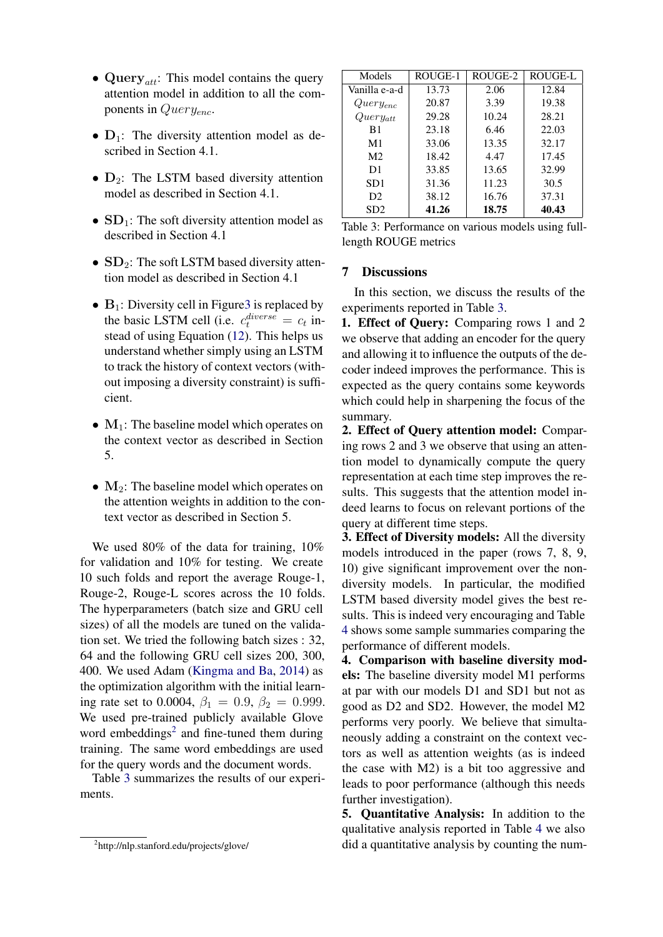- Query<sub>att</sub>: This model contains the query attention model in addition to all the components in  $Query_{enc}$ .
- $D_1$ : The diversity attention model as described in Section 4.1.
- $D_2$ : The LSTM based diversity attention model as described in Section 4.1.
- $SD_1$ : The soft diversity attention model as described in Section 4.1
- $SD_2$ : The soft LSTM based diversity attention model as described in Section 4.1
- $B_1$ : Diversity cell in Figure 3 is replaced by the basic LSTM cell (i.e.  $c_t^{diverse} = c_t$  instead of using Equation [\(12\)](#page-5-1). This helps us understand whether simply using an LSTM to track the history of context vectors (without imposing a diversity constraint) is sufficient.
- $M_1$ : The baseline model which operates on the context vector as described in Section 5.
- $M_2$ : The baseline model which operates on the attention weights in addition to the context vector as described in Section 5.

We used 80% of the data for training,  $10\%$ for validation and 10% for testing. We create 10 such folds and report the average Rouge-1, Rouge-2, Rouge-L scores across the 10 folds. The hyperparameters (batch size and GRU cell sizes) of all the models are tuned on the validation set. We tried the following batch sizes : 32, 64 and the following GRU cell sizes 200, 300, 400. We used Adam [\(Kingma and Ba,](#page-8-20) [2014\)](#page-8-20) as the optimization algorithm with the initial learning rate set to 0.0004,  $\beta_1 = 0.9$ ,  $\beta_2 = 0.999$ . We used pre-trained publicly available Glove word embeddings<sup>[2](#page-6-0)</sup> and fine-tuned them during training. The same word embeddings are used for the query words and the document words.

Table [3](#page-6-1) summarizes the results of our experiments.

| Models                          | ROUGE-1 | ROUGE-2 | ROUGE-L |
|---------------------------------|---------|---------|---------|
| Vanilla e-a-d                   | 13.73   | 2.06    | 12.84   |
| $Query_{enc}$                   | 20.87   | 3.39    | 19.38   |
| $\overset{\cdot }{Query}_{att}$ | 29.28   | 10.24   | 28.21   |
| B1                              | 23.18   | 6.46    | 22.03   |
| M1                              | 33.06   | 13.35   | 32.17   |
| M <sub>2</sub>                  | 18.42   | 4.47    | 17.45   |
| D1                              | 33.85   | 13.65   | 32.99   |
| SD <sub>1</sub>                 | 31.36   | 11.23   | 30.5    |
| D <sub>2</sub>                  | 38.12   | 16.76   | 37.31   |
| SD2                             | 41.26   | 18.75   | 40.43   |

<span id="page-6-1"></span>Table 3: Performance on various models using fulllength ROUGE metrics

#### 7 Discussions

In this section, we discuss the results of the experiments reported in Table [3.](#page-6-1)

1. Effect of Query: Comparing rows 1 and 2 we observe that adding an encoder for the query and allowing it to influence the outputs of the decoder indeed improves the performance. This is expected as the query contains some keywords which could help in sharpening the focus of the summary.

2. Effect of Query attention model: Comparing rows 2 and 3 we observe that using an attention model to dynamically compute the query representation at each time step improves the results. This suggests that the attention model indeed learns to focus on relevant portions of the query at different time steps.

3. Effect of Diversity models: All the diversity models introduced in the paper (rows 7, 8, 9, 10) give significant improvement over the nondiversity models. In particular, the modified LSTM based diversity model gives the best results. This is indeed very encouraging and Table [4](#page-7-0) shows some sample summaries comparing the performance of different models.

4. Comparison with baseline diversity models: The baseline diversity model M1 performs at par with our models D1 and SD1 but not as good as D2 and SD2. However, the model M2 performs very poorly. We believe that simultaneously adding a constraint on the context vectors as well as attention weights (as is indeed the case with M2) is a bit too aggressive and leads to poor performance (although this needs further investigation).

5. Quantitative Analysis: In addition to the qualitative analysis reported in Table [4](#page-7-0) we also did a quantitative analysis by counting the num-

<span id="page-6-0"></span><sup>2</sup> http://nlp.stanford.edu/projects/glove/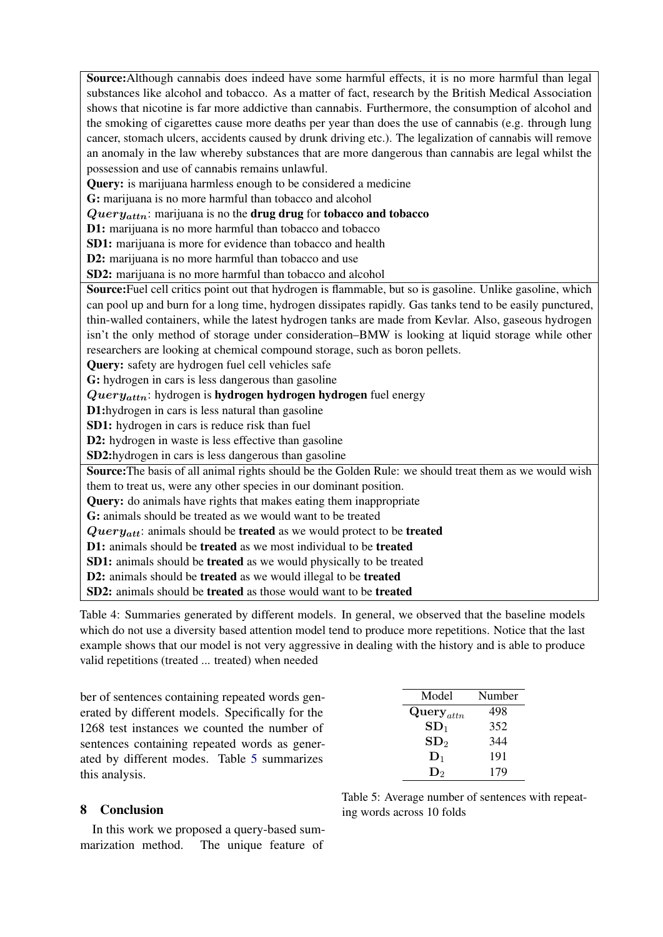Source:Although cannabis does indeed have some harmful effects, it is no more harmful than legal substances like alcohol and tobacco. As a matter of fact, research by the British Medical Association shows that nicotine is far more addictive than cannabis. Furthermore, the consumption of alcohol and the smoking of cigarettes cause more deaths per year than does the use of cannabis (e.g. through lung cancer, stomach ulcers, accidents caused by drunk driving etc.). The legalization of cannabis will remove an anomaly in the law whereby substances that are more dangerous than cannabis are legal whilst the possession and use of cannabis remains unlawful.

Query: is marijuana harmless enough to be considered a medicine

G: marijuana is no more harmful than tobacco and alcohol

 $Query_{attn}$ : marijuana is no the drug drug for tobacco and tobacco

D1: marijuana is no more harmful than tobacco and tobacco

SD1: marijuana is more for evidence than tobacco and health

D2: marijuana is no more harmful than tobacco and use

SD2: marijuana is no more harmful than tobacco and alcohol

Source:Fuel cell critics point out that hydrogen is flammable, but so is gasoline. Unlike gasoline, which can pool up and burn for a long time, hydrogen dissipates rapidly. Gas tanks tend to be easily punctured, thin-walled containers, while the latest hydrogen tanks are made from Kevlar. Also, gaseous hydrogen isn't the only method of storage under consideration–BMW is looking at liquid storage while other researchers are looking at chemical compound storage, such as boron pellets.

Query: safety are hydrogen fuel cell vehicles safe

G: hydrogen in cars is less dangerous than gasoline

 $Query_{attn}$ : hydrogen is **hydrogen hydrogen hydrogen** fuel energy

D1:hydrogen in cars is less natural than gasoline

SD1: hydrogen in cars is reduce risk than fuel

D2: hydrogen in waste is less effective than gasoline

SD2:hydrogen in cars is less dangerous than gasoline

Source:The basis of all animal rights should be the Golden Rule: we should treat them as we would wish them to treat us, were any other species in our dominant position.

Query: do animals have rights that makes eating them inappropriate

G: animals should be treated as we would want to be treated

 $Query_{att}$ : animals should be treated as we would protect to be treated

D1: animals should be treated as we most individual to be treated

SD1: animals should be treated as we would physically to be treated

D2: animals should be treated as we would illegal to be treated

<span id="page-7-0"></span>SD2: animals should be treated as those would want to be treated

Table 4: Summaries generated by different models. In general, we observed that the baseline models which do not use a diversity based attention model tend to produce more repetitions. Notice that the last example shows that our model is not very aggressive in dealing with the history and is able to produce valid repetitions (treated ... treated) when needed

ber of sentences containing repeated words generated by different models. Specifically for the 1268 test instances we counted the number of sentences containing repeated words as generated by different modes. Table [5](#page-7-1) summarizes this analysis.

| Model                   | Number |
|-------------------------|--------|
| $\mathbf{Query}_{attn}$ | 498    |
| $\mathbf{SD}_1$         | 352    |
| SD <sub>2</sub>         | 344    |
| $\mathbf{D}_1$          | 191    |
| D۰                      | 179    |

## 8 Conclusion

In this work we proposed a query-based summarization method. The unique feature of

<span id="page-7-1"></span>Table 5: Average number of sentences with repeating words across 10 folds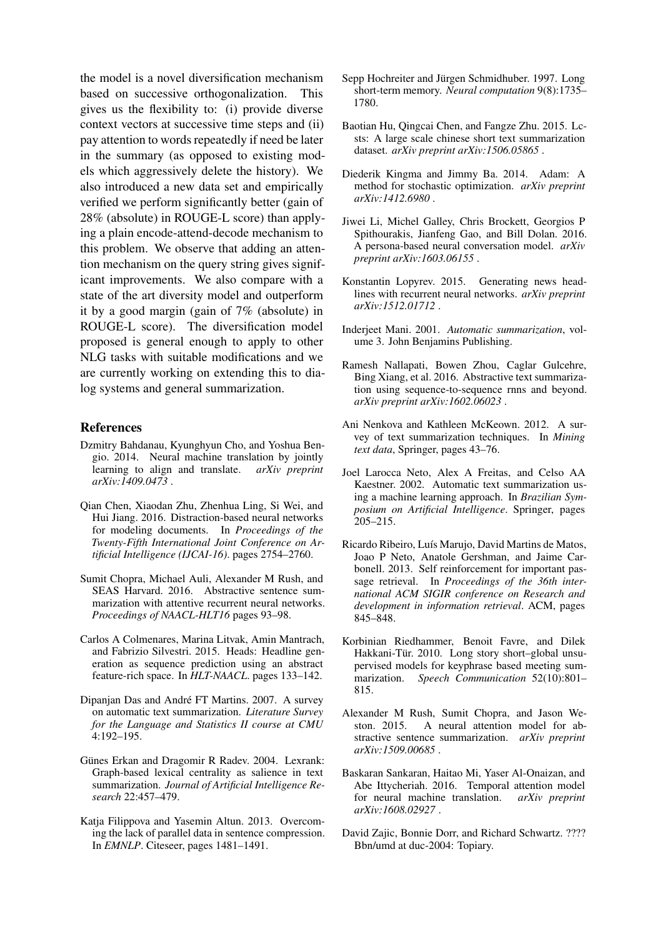the model is a novel diversification mechanism based on successive orthogonalization. gives us the flexibility to: (i) provide diverse context vectors at successive time steps and (ii) pay attention to words repeatedly if need be later in the summary (as opposed to existing models which aggressively delete the history). We also introduced a new data set and empirically verified we perform significantly better (gain of 28% (absolute) in ROUGE-L score) than applying a plain encode-attend-decode mechanism to this problem. We observe that adding an attention mechanism on the query string gives significant improvements. We also compare with a state of the art diversity model and outperform it by a good margin (gain of 7% (absolute) in ROUGE-L score). The diversification model proposed is general enough to apply to other NLG tasks with suitable modifications and we are currently working on extending this to dialog systems and general summarization.

#### References

- <span id="page-8-0"></span>Dzmitry Bahdanau, Kyunghyun Cho, and Yoshua Bengio. 2014. Neural machine translation by jointly learning to align and translate. *arXiv preprint arXiv:1409.0473* .
- <span id="page-8-4"></span>Qian Chen, Xiaodan Zhu, Zhenhua Ling, Si Wei, and Hui Jiang. 2016. Distraction-based neural networks for modeling documents. In *Proceedings of the Twenty-Fifth International Joint Conference on Artificial Intelligence (IJCAI-16)*. pages 2754–2760.
- <span id="page-8-18"></span>Sumit Chopra, Michael Auli, Alexander M Rush, and SEAS Harvard. 2016. Abstractive sentence summarization with attentive recurrent neural networks. *Proceedings of NAACL-HLT16* pages 93–98.
- <span id="page-8-13"></span>Carlos A Colmenares, Marina Litvak, Amin Mantrach, and Fabrizio Silvestri. 2015. Heads: Headline generation as sequence prediction using an abstract feature-rich space. In *HLT-NAACL*. pages 133–142.
- <span id="page-8-8"></span>Dipanjan Das and André FT Martins. 2007. A survey on automatic text summarization. *Literature Survey for the Language and Statistics II course at CMU* 4:192–195.
- <span id="page-8-11"></span>Günes Erkan and Dragomir R Radev. 2004. Lexrank: Graph-based lexical centrality as salience in text summarization. *Journal of Artificial Intelligence Research* 22:457–479.
- <span id="page-8-12"></span>Katja Filippova and Yasemin Altun. 2013. Overcoming the lack of parallel data in sentence compression. In *EMNLP*. Citeseer, pages 1481–1491.
- <span id="page-8-6"></span>Sepp Hochreiter and Jürgen Schmidhuber. 1997. Long short-term memory. *Neural computation* 9(8):1735– 1780.
- <span id="page-8-19"></span>Baotian Hu, Qingcai Chen, and Fangze Zhu. 2015. Lcsts: A large scale chinese short text summarization dataset. *arXiv preprint arXiv:1506.05865* .
- <span id="page-8-20"></span>Diederik Kingma and Jimmy Ba. 2014. Adam: A method for stochastic optimization. *arXiv preprint arXiv:1412.6980* .
- <span id="page-8-3"></span>Jiwei Li, Michel Galley, Chris Brockett, Georgios P Spithourakis, Jianfeng Gao, and Bill Dolan. 2016. A persona-based neural conversation model. *arXiv preprint arXiv:1603.06155* .
- <span id="page-8-17"></span>Konstantin Lopyrev. 2015. Generating news headlines with recurrent neural networks. *arXiv preprint arXiv:1512.01712* .
- <span id="page-8-7"></span>Inderjeet Mani. 2001. *Automatic summarization*, volume 3. John Benjamins Publishing.
- <span id="page-8-2"></span>Ramesh Nallapati, Bowen Zhou, Caglar Gulcehre, Bing Xiang, et al. 2016. Abstractive text summarization using sequence-to-sequence rnns and beyond. *arXiv preprint arXiv:1602.06023* .
- <span id="page-8-9"></span>Ani Nenkova and Kathleen McKeown. 2012. A survey of text summarization techniques. In *Mining text data*, Springer, pages 43–76.
- <span id="page-8-10"></span>Joel Larocca Neto, Alex A Freitas, and Celso AA Kaestner. 2002. Automatic text summarization using a machine learning approach. In *Brazilian Symposium on Artificial Intelligence*. Springer, pages 205–215.
- <span id="page-8-15"></span>Ricardo Ribeiro, Luís Marujo, David Martins de Matos, Joao P Neto, Anatole Gershman, and Jaime Carbonell. 2013. Self reinforcement for important passage retrieval. In *Proceedings of the 36th international ACM SIGIR conference on Research and development in information retrieval*. ACM, pages 845–848.
- <span id="page-8-14"></span>Korbinian Riedhammer, Benoit Favre, and Dilek Hakkani-Tür. 2010. Long story short-global unsupervised models for keyphrase based meeting summarization. *Speech Communication* 52(10):801– 815.
- <span id="page-8-1"></span>Alexander M Rush, Sumit Chopra, and Jason Weston. 2015. A neural attention model for abstractive sentence summarization. *arXiv preprint arXiv:1509.00685* .
- <span id="page-8-5"></span>Baskaran Sankaran, Haitao Mi, Yaser Al-Onaizan, and Abe Ittycheriah. 2016. Temporal attention model for neural machine translation. *arXiv preprint arXiv:1608.02927* .
- <span id="page-8-16"></span>David Zajic, Bonnie Dorr, and Richard Schwartz. ???? Bbn/umd at duc-2004: Topiary.